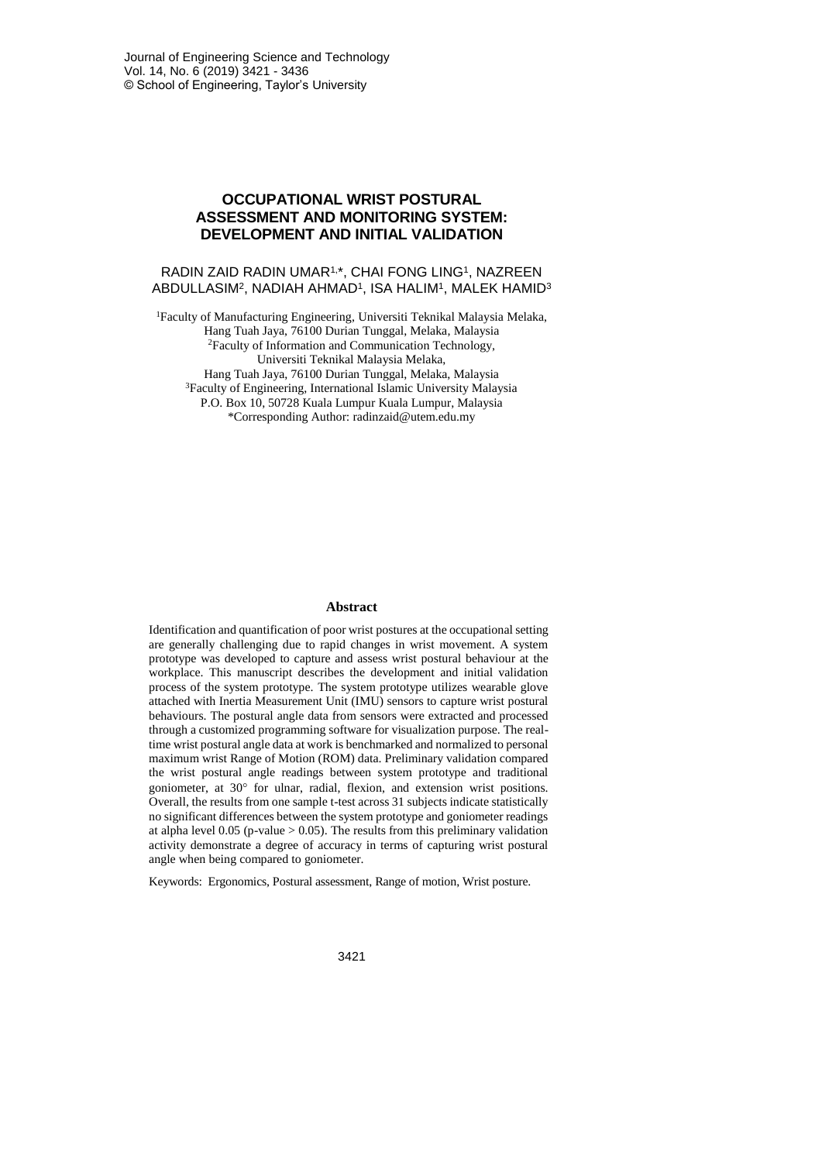# **OCCUPATIONAL WRIST POSTURAL ASSESSMENT AND MONITORING SYSTEM: DEVELOPMENT AND INITIAL VALIDATION**

### RADIN ZAID RADIN UMAR1, \*, CHAI FONG LING<sup>1</sup> , NAZREEN ABDULLASIM², NADIAH AHMAD1, ISA HALIM1, MALEK HAMID3

<sup>1</sup>Faculty of Manufacturing Engineering, Universiti Teknikal Malaysia Melaka, Hang Tuah Jaya, 76100 Durian Tunggal, Melaka, Malaysia <sup>2</sup>Faculty of Information and Communication Technology, Universiti Teknikal Malaysia Melaka, Hang Tuah Jaya, 76100 Durian Tunggal, Melaka, Malaysia <sup>3</sup>Faculty of Engineering, International Islamic University Malaysia P.O. Box 10, 50728 Kuala Lumpur Kuala Lumpur, Malaysia \*Corresponding Author: radinzaid@utem.edu.my

#### **Abstract**

Identification and quantification of poor wrist postures at the occupational setting are generally challenging due to rapid changes in wrist movement. A system prototype was developed to capture and assess wrist postural behaviour at the workplace. This manuscript describes the development and initial validation process of the system prototype. The system prototype utilizes wearable glove attached with Inertia Measurement Unit (IMU) sensors to capture wrist postural behaviours. The postural angle data from sensors were extracted and processed through a customized programming software for visualization purpose. The realtime wrist postural angle data at work is benchmarked and normalized to personal maximum wrist Range of Motion (ROM) data. Preliminary validation compared the wrist postural angle readings between system prototype and traditional goniometer, at 30° for ulnar, radial, flexion, and extension wrist positions. Overall, the results from one sample t-test across 31 subjects indicate statistically no significant differences between the system prototype and goniometer readings at alpha level  $0.05$  (p-value  $> 0.05$ ). The results from this preliminary validation activity demonstrate a degree of accuracy in terms of capturing wrist postural angle when being compared to goniometer.

Keywords: Ergonomics, Postural assessment, Range of motion, Wrist posture.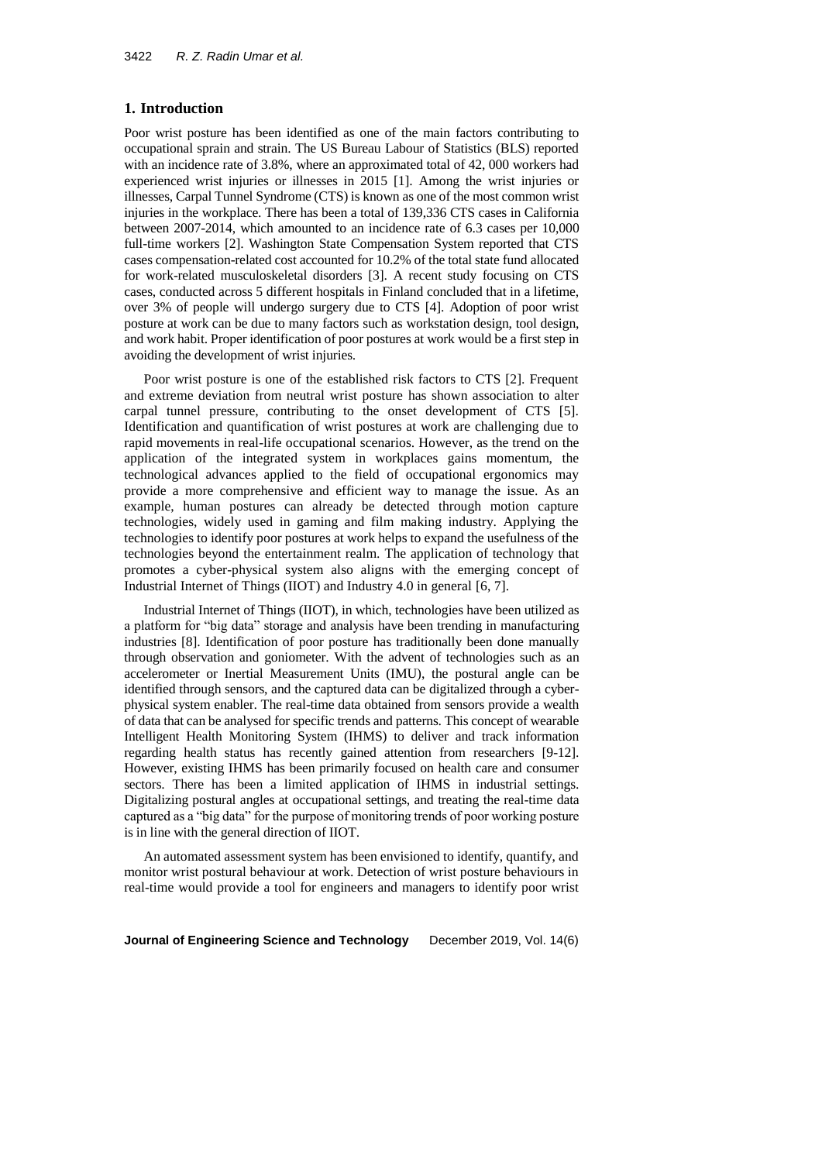### **1. Introduction**

Poor wrist posture has been identified as one of the main factors contributing to occupational sprain and strain. The US Bureau Labour of Statistics (BLS) reported with an incidence rate of 3.8%, where an approximated total of 42, 000 workers had experienced wrist injuries or illnesses in 2015 [1]. Among the wrist injuries or illnesses, Carpal Tunnel Syndrome (CTS) is known as one of the most common wrist injuries in the workplace. There has been a total of 139,336 CTS cases in California between 2007-2014, which amounted to an incidence rate of 6.3 cases per 10,000 full-time workers [2]. Washington State Compensation System reported that CTS cases compensation-related cost accounted for 10.2% of the total state fund allocated for work-related musculoskeletal disorders [3]. A recent study focusing on CTS cases, conducted across 5 different hospitals in Finland concluded that in a lifetime, over 3% of people will undergo surgery due to CTS [4]. Adoption of poor wrist posture at work can be due to many factors such as workstation design, tool design, and work habit. Proper identification of poor postures at work would be a first step in avoiding the development of wrist injuries.

Poor wrist posture is one of the established risk factors to CTS [2]. Frequent and extreme deviation from neutral wrist posture has shown association to alter carpal tunnel pressure, contributing to the onset development of CTS [5]. Identification and quantification of wrist postures at work are challenging due to rapid movements in real-life occupational scenarios. However, as the trend on the application of the integrated system in workplaces gains momentum, the technological advances applied to the field of occupational ergonomics may provide a more comprehensive and efficient way to manage the issue. As an example, human postures can already be detected through motion capture technologies, widely used in gaming and film making industry. Applying the technologies to identify poor postures at work helps to expand the usefulness of the technologies beyond the entertainment realm. The application of technology that promotes a cyber-physical system also aligns with the emerging concept of Industrial Internet of Things (IIOT) and Industry 4.0 in general [6, 7].

Industrial Internet of Things (IIOT), in which, technologies have been utilized as a platform for "big data" storage and analysis have been trending in manufacturing industries [8]. Identification of poor posture has traditionally been done manually through observation and goniometer. With the advent of technologies such as an accelerometer or Inertial Measurement Units (IMU), the postural angle can be identified through sensors, and the captured data can be digitalized through a cyberphysical system enabler. The real-time data obtained from sensors provide a wealth of data that can be analysed for specific trends and patterns. This concept of wearable Intelligent Health Monitoring System (IHMS) to deliver and track information regarding health status has recently gained attention from researchers [9-12]. However, existing IHMS has been primarily focused on health care and consumer sectors. There has been a limited application of IHMS in industrial settings. Digitalizing postural angles at occupational settings, and treating the real-time data captured as a "big data" for the purpose of monitoring trends of poor working posture is in line with the general direction of IIOT.

An automated assessment system has been envisioned to identify, quantify, and monitor wrist postural behaviour at work. Detection of wrist posture behaviours in real-time would provide a tool for engineers and managers to identify poor wrist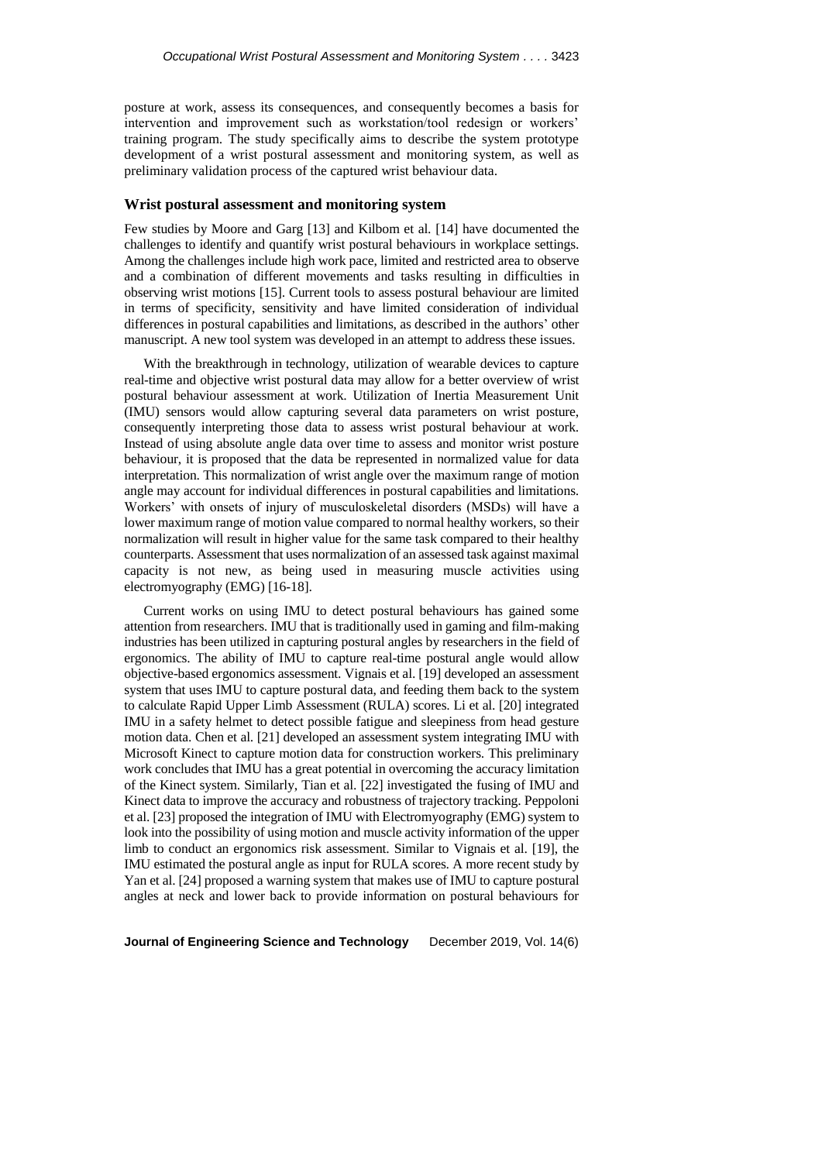posture at work, assess its consequences, and consequently becomes a basis for intervention and improvement such as workstation/tool redesign or workers' training program. The study specifically aims to describe the system prototype development of a wrist postural assessment and monitoring system, as well as preliminary validation process of the captured wrist behaviour data.

#### **Wrist postural assessment and monitoring system**

Few studies by Moore and Garg [13] and Kilbom et al. [14] have documented the challenges to identify and quantify wrist postural behaviours in workplace settings. Among the challenges include high work pace, limited and restricted area to observe and a combination of different movements and tasks resulting in difficulties in observing wrist motions [15]. Current tools to assess postural behaviour are limited in terms of specificity, sensitivity and have limited consideration of individual differences in postural capabilities and limitations, as described in the authors' other manuscript. A new tool system was developed in an attempt to address these issues.

With the breakthrough in technology, utilization of wearable devices to capture real-time and objective wrist postural data may allow for a better overview of wrist postural behaviour assessment at work. Utilization of Inertia Measurement Unit (IMU) sensors would allow capturing several data parameters on wrist posture, consequently interpreting those data to assess wrist postural behaviour at work. Instead of using absolute angle data over time to assess and monitor wrist posture behaviour, it is proposed that the data be represented in normalized value for data interpretation. This normalization of wrist angle over the maximum range of motion angle may account for individual differences in postural capabilities and limitations. Workers' with onsets of injury of musculoskeletal disorders (MSDs) will have a lower maximum range of motion value compared to normal healthy workers, so their normalization will result in higher value for the same task compared to their healthy counterparts. Assessment that uses normalization of an assessed task against maximal capacity is not new, as being used in measuring muscle activities using electromyography (EMG) [16-18].

Current works on using IMU to detect postural behaviours has gained some attention from researchers. IMU that is traditionally used in gaming and film-making industries has been utilized in capturing postural angles by researchers in the field of ergonomics. The ability of IMU to capture real-time postural angle would allow objective-based ergonomics assessment. Vignais et al. [19] developed an assessment system that uses IMU to capture postural data, and feeding them back to the system to calculate Rapid Upper Limb Assessment (RULA) scores. Li et al. [20] integrated IMU in a safety helmet to detect possible fatigue and sleepiness from head gesture motion data. Chen et al. [21] developed an assessment system integrating IMU with Microsoft Kinect to capture motion data for construction workers. This preliminary work concludes that IMU has a great potential in overcoming the accuracy limitation of the Kinect system. Similarly, Tian et al. [22] investigated the fusing of IMU and Kinect data to improve the accuracy and robustness of trajectory tracking. Peppoloni et al. [23] proposed the integration of IMU with Electromyography (EMG) system to look into the possibility of using motion and muscle activity information of the upper limb to conduct an ergonomics risk assessment. Similar to Vignais et al. [19], the IMU estimated the postural angle as input for RULA scores. A more recent study by Yan et al. [24] proposed a warning system that makes use of IMU to capture postural angles at neck and lower back to provide information on postural behaviours for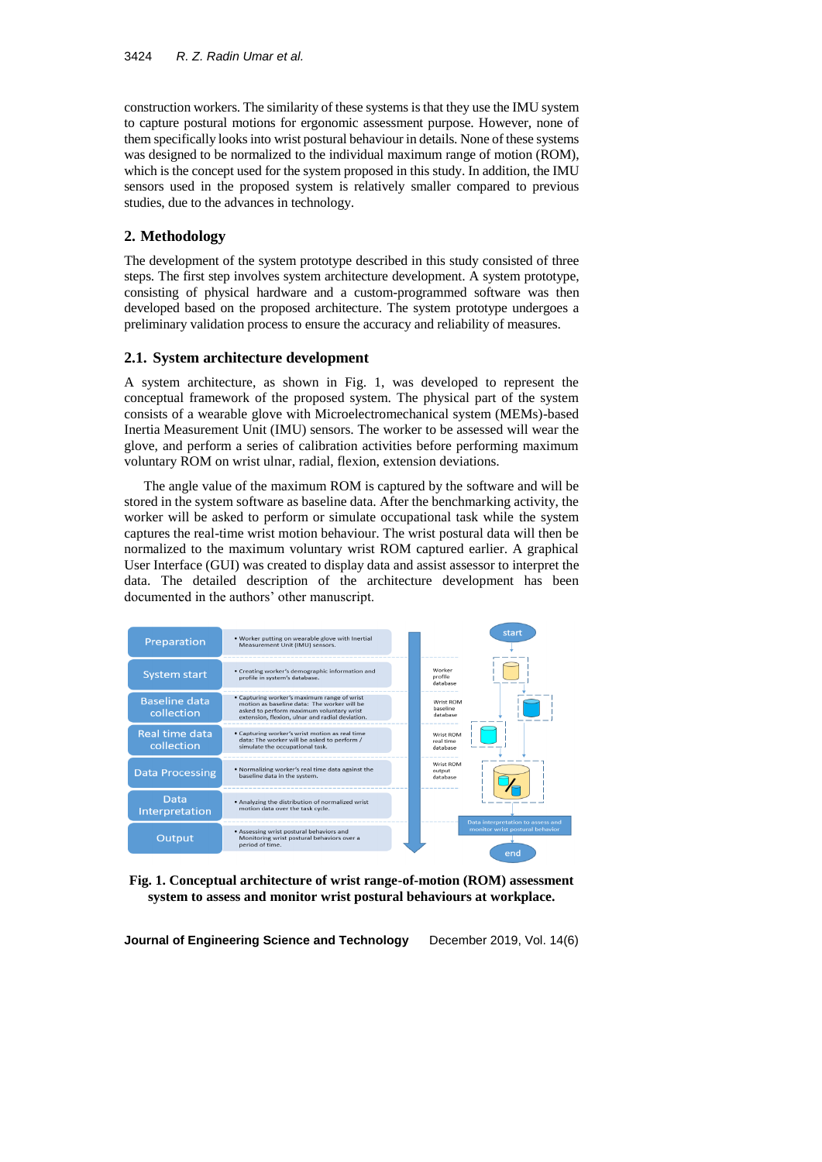construction workers. The similarity of these systems is that they use the IMU system to capture postural motions for ergonomic assessment purpose. However, none of them specifically looksinto wrist postural behaviour in details. None of these systems was designed to be normalized to the individual maximum range of motion (ROM), which is the concept used for the system proposed in this study. In addition, the IMU sensors used in the proposed system is relatively smaller compared to previous studies, due to the advances in technology.

## **2. Methodology**

The development of the system prototype described in this study consisted of three steps. The first step involves system architecture development. A system prototype, consisting of physical hardware and a custom-programmed software was then developed based on the proposed architecture. The system prototype undergoes a preliminary validation process to ensure the accuracy and reliability of measures.

## **2.1. System architecture development**

A system architecture, as shown in Fig. 1, was developed to represent the conceptual framework of the proposed system. The physical part of the system consists of a wearable glove with Microelectromechanical system (MEMs)-based Inertia Measurement Unit (IMU) sensors. The worker to be assessed will wear the glove, and perform a series of calibration activities before performing maximum voluntary ROM on wrist ulnar, radial, flexion, extension deviations.

The angle value of the maximum ROM is captured by the software and will be stored in the system software as baseline data. After the benchmarking activity, the worker will be asked to perform or simulate occupational task while the system captures the real-time wrist motion behaviour. The wrist postural data will then be normalized to the maximum voluntary wrist ROM captured earlier. A graphical User Interface (GUI) was created to display data and assist assessor to interpret the data. The detailed description of the architecture development has been documented in the authors' other manuscript.



**Fig. 1. Conceptual architecture of wrist range-of-motion (ROM) assessment system to assess and monitor wrist postural behaviours at workplace.**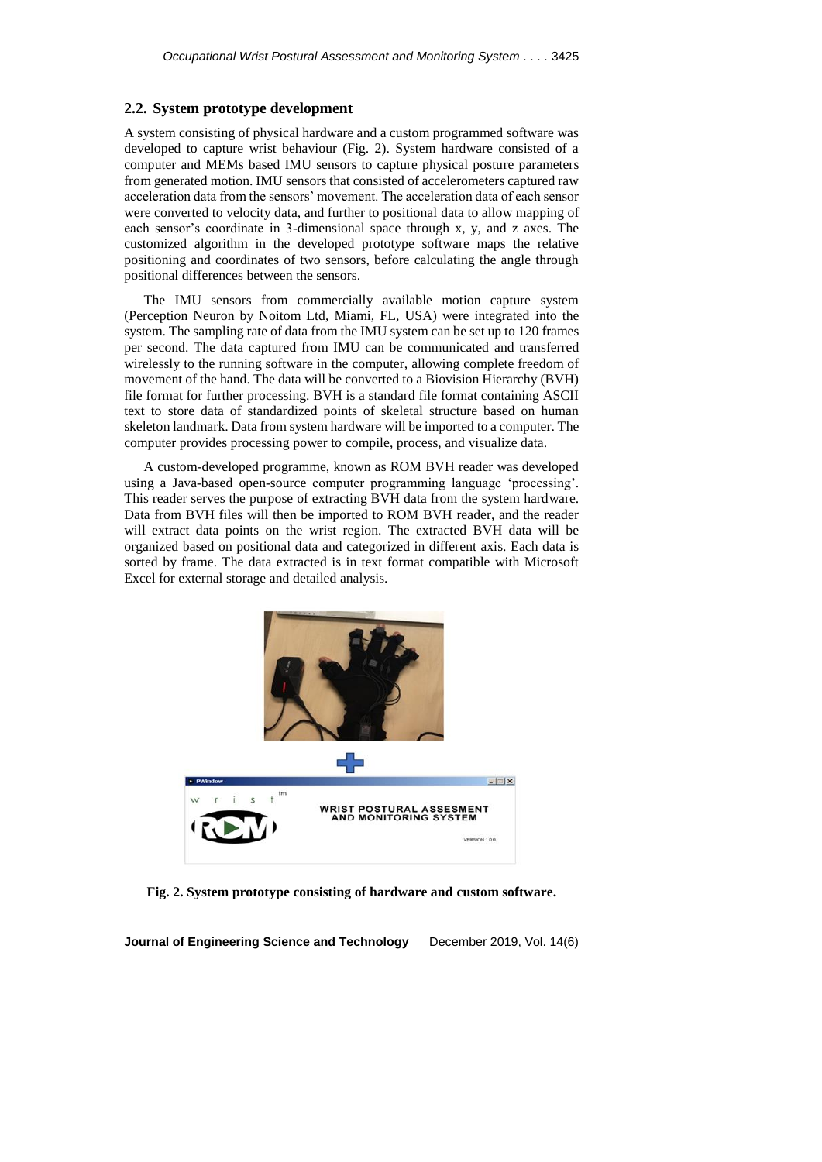#### **2.2. System prototype development**

A system consisting of physical hardware and a custom programmed software was developed to capture wrist behaviour (Fig. 2). System hardware consisted of a computer and MEMs based IMU sensors to capture physical posture parameters from generated motion. IMU sensors that consisted of accelerometers captured raw acceleration data from the sensors' movement. The acceleration data of each sensor were converted to velocity data, and further to positional data to allow mapping of each sensor's coordinate in 3-dimensional space through x, y, and z axes. The customized algorithm in the developed prototype software maps the relative positioning and coordinates of two sensors, before calculating the angle through positional differences between the sensors.

The IMU sensors from commercially available motion capture system (Perception Neuron by Noitom Ltd, Miami, FL, USA) were integrated into the system. The sampling rate of data from the IMU system can be set up to 120 frames per second. The data captured from IMU can be communicated and transferred wirelessly to the running software in the computer, allowing complete freedom of movement of the hand. The data will be converted to a Biovision Hierarchy (BVH) file format for further processing. BVH is a standard file format containing ASCII text to store data of standardized points of skeletal structure based on human skeleton landmark. Data from system hardware will be imported to a computer. The computer provides processing power to compile, process, and visualize data.

A custom-developed programme, known as ROM BVH reader was developed using a Java-based open-source computer programming language 'processing'. This reader serves the purpose of extracting BVH data from the system hardware. Data from BVH files will then be imported to ROM BVH reader, and the reader will extract data points on the wrist region. The extracted BVH data will be organized based on positional data and categorized in different axis. Each data is sorted by frame. The data extracted is in text format compatible with Microsoft Excel for external storage and detailed analysis.



**Fig. 2. System prototype consisting of hardware and custom software.**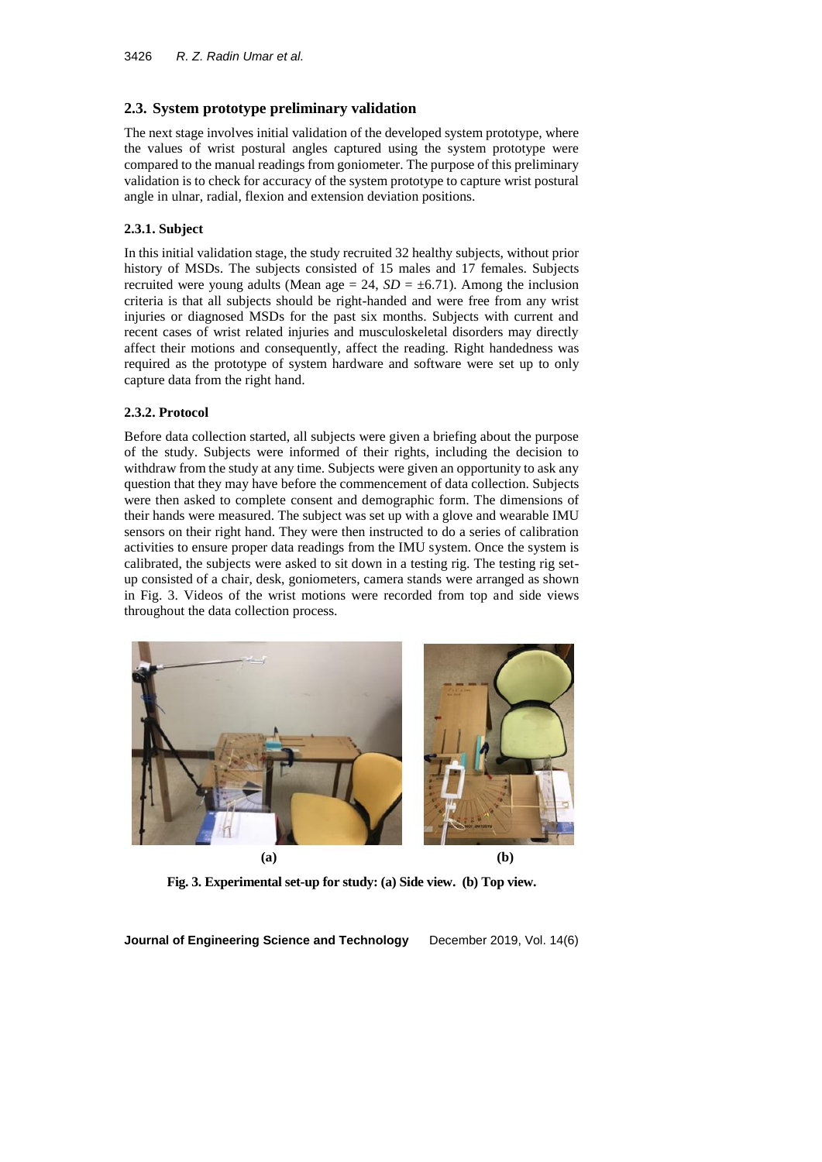## **2.3. System prototype preliminary validation**

The next stage involves initial validation of the developed system prototype, where the values of wrist postural angles captured using the system prototype were compared to the manual readings from goniometer. The purpose of this preliminary validation is to check for accuracy of the system prototype to capture wrist postural angle in ulnar, radial, flexion and extension deviation positions.

## **2.3.1. Subject**

In this initial validation stage, the study recruited 32 healthy subjects, without prior history of MSDs. The subjects consisted of 15 males and 17 females. Subjects recruited were young adults (Mean age  $= 24$ ,  $SD = \pm 6.71$ ). Among the inclusion criteria is that all subjects should be right-handed and were free from any wrist injuries or diagnosed MSDs for the past six months. Subjects with current and recent cases of wrist related injuries and musculoskeletal disorders may directly affect their motions and consequently, affect the reading. Right handedness was required as the prototype of system hardware and software were set up to only capture data from the right hand.

## **2.3.2. Protocol**

Before data collection started, all subjects were given a briefing about the purpose of the study. Subjects were informed of their rights, including the decision to withdraw from the study at any time. Subjects were given an opportunity to ask any question that they may have before the commencement of data collection. Subjects were then asked to complete consent and demographic form. The dimensions of their hands were measured. The subject was set up with a glove and wearable IMU sensors on their right hand. They were then instructed to do a series of calibration activities to ensure proper data readings from the IMU system. Once the system is calibrated, the subjects were asked to sit down in a testing rig. The testing rig setup consisted of a chair, desk, goniometers, camera stands were arranged as shown in Fig. 3. Videos of the wrist motions were recorded from top and side views throughout the data collection process.



**(a) (b)**

**Fig. 3. Experimental set-up for study: (a) Side view. (b) Top view.**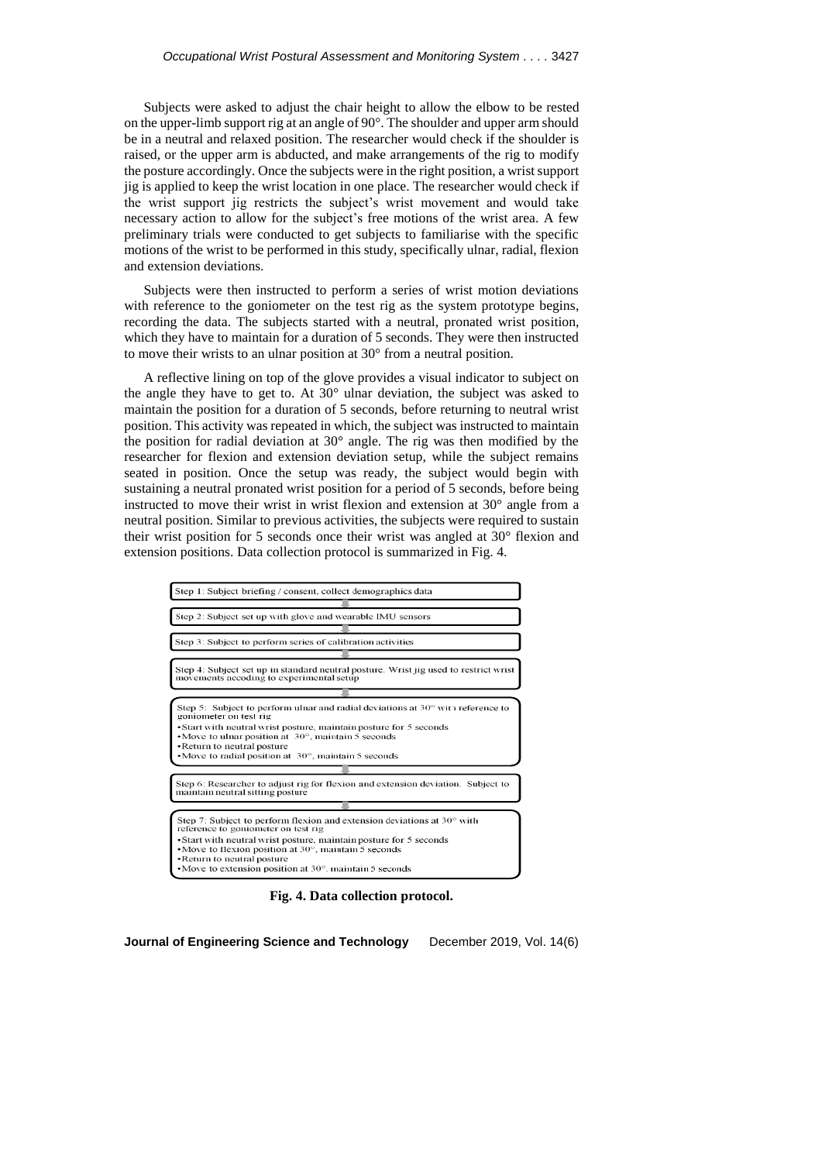Subjects were asked to adjust the chair height to allow the elbow to be rested on the upper-limb support rig at an angle of 90°. The shoulder and upper arm should be in a neutral and relaxed position. The researcher would check if the shoulder is raised, or the upper arm is abducted, and make arrangements of the rig to modify the posture accordingly. Once the subjects were in the right position, a wrist support jig is applied to keep the wrist location in one place. The researcher would check if the wrist support jig restricts the subject's wrist movement and would take necessary action to allow for the subject's free motions of the wrist area. A few preliminary trials were conducted to get subjects to familiarise with the specific motions of the wrist to be performed in this study, specifically ulnar, radial, flexion and extension deviations.

Subjects were then instructed to perform a series of wrist motion deviations with reference to the goniometer on the test rig as the system prototype begins, recording the data. The subjects started with a neutral, pronated wrist position, which they have to maintain for a duration of 5 seconds. They were then instructed to move their wrists to an ulnar position at 30° from a neutral position.

A reflective lining on top of the glove provides a visual indicator to subject on the angle they have to get to. At 30° ulnar deviation, the subject was asked to maintain the position for a duration of 5 seconds, before returning to neutral wrist position. This activity was repeated in which, the subject was instructed to maintain the position for radial deviation at 30° angle. The rig was then modified by the researcher for flexion and extension deviation setup, while the subject remains seated in position. Once the setup was ready, the subject would begin with sustaining a neutral pronated wrist position for a period of 5 seconds, before being instructed to move their wrist in wrist flexion and extension at 30° angle from a neutral position. Similar to previous activities, the subjects were required to sustain their wrist position for 5 seconds once their wrist was angled at 30° flexion and extension positions. Data collection protocol is summarized in Fig. 4.



**Fig. 4. Data collection protocol.**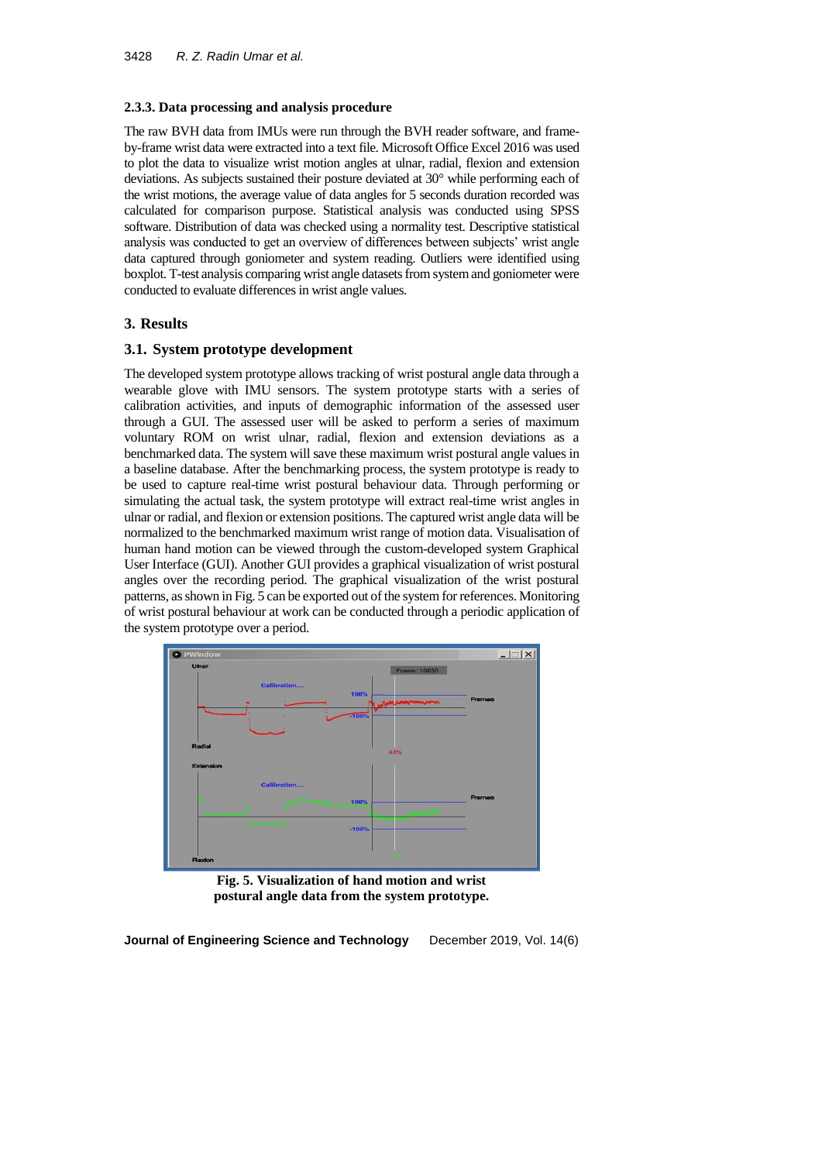### **2.3.3. Data processing and analysis procedure**

The raw BVH data from IMUs were run through the BVH reader software, and frameby-frame wrist data were extracted into a text file. Microsoft Office Excel 2016 was used to plot the data to visualize wrist motion angles at ulnar, radial, flexion and extension deviations. As subjects sustained their posture deviated at 30° while performing each of the wrist motions, the average value of data angles for 5 seconds duration recorded was calculated for comparison purpose. Statistical analysis was conducted using SPSS software. Distribution of data was checked using a normality test. Descriptive statistical analysis was conducted to get an overview of differences between subjects' wrist angle data captured through goniometer and system reading. Outliers were identified using boxplot. T-test analysis comparing wrist angle datasets from system and goniometer were conducted to evaluate differences in wrist angle values.

## **3. Results**

## **3.1. System prototype development**

The developed system prototype allows tracking of wrist postural angle data through a wearable glove with IMU sensors. The system prototype starts with a series of calibration activities, and inputs of demographic information of the assessed user through a GUI. The assessed user will be asked to perform a series of maximum voluntary ROM on wrist ulnar, radial, flexion and extension deviations as a benchmarked data. The system will save these maximum wrist postural angle values in a baseline database. After the benchmarking process, the system prototype is ready to be used to capture real-time wrist postural behaviour data. Through performing or simulating the actual task, the system prototype will extract real-time wrist angles in ulnar or radial, and flexion or extension positions. The captured wrist angle data will be normalized to the benchmarked maximum wrist range of motion data. Visualisation of human hand motion can be viewed through the custom-developed system Graphical User Interface (GUI). Another GUI provides a graphical visualization of wrist postural angles over the recording period. The graphical visualization of the wrist postural patterns, as shown in Fig. 5 can be exported out of the system for references. Monitoring of wrist postural behaviour at work can be conducted through a periodic application of the system prototype over a period.



**Fig. 5. Visualization of hand motion and wrist postural angle data from the system prototype.**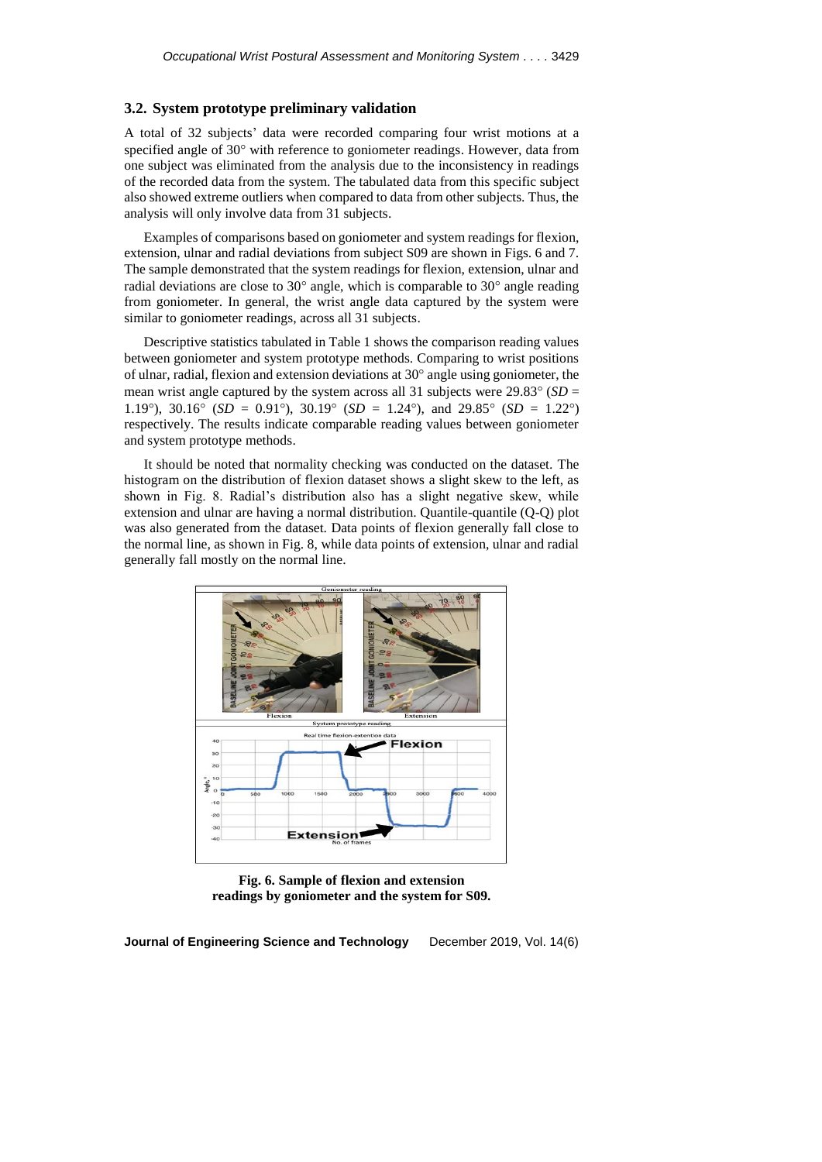### **3.2. System prototype preliminary validation**

A total of 32 subjects' data were recorded comparing four wrist motions at a specified angle of 30° with reference to goniometer readings. However, data from one subject was eliminated from the analysis due to the inconsistency in readings of the recorded data from the system. The tabulated data from this specific subject also showed extreme outliers when compared to data from other subjects. Thus, the analysis will only involve data from 31 subjects.

Examples of comparisons based on goniometer and system readings for flexion, extension, ulnar and radial deviations from subject S09 are shown in Figs. 6 and 7. The sample demonstrated that the system readings for flexion, extension, ulnar and radial deviations are close to  $30^{\circ}$  angle, which is comparable to  $30^{\circ}$  angle reading from goniometer. In general, the wrist angle data captured by the system were similar to goniometer readings, across all 31 subjects.

Descriptive statistics tabulated in Table 1 shows the comparison reading values between goniometer and system prototype methods. Comparing to wrist positions of ulnar, radial, flexion and extension deviations at  $30^{\circ}$  angle using goniometer, the mean wrist angle captured by the system across all 31 subjects were  $29.83^{\circ}$  (*SD* = 1.19°), 30.16° (*SD* = 0.91°), 30.19° (*SD* = 1.24°), and 29.85° (*SD* = 1.22°) respectively. The results indicate comparable reading values between goniometer and system prototype methods.

It should be noted that normality checking was conducted on the dataset. The histogram on the distribution of flexion dataset shows a slight skew to the left, as shown in Fig. 8. Radial's distribution also has a slight negative skew, while extension and ulnar are having a normal distribution. Quantile-quantile (Q-Q) plot was also generated from the dataset. Data points of flexion generally fall close to the normal line, as shown in Fig. 8, while data points of extension, ulnar and radial generally fall mostly on the normal line.



**Fig. 6. Sample of flexion and extension readings by goniometer and the system for S09.**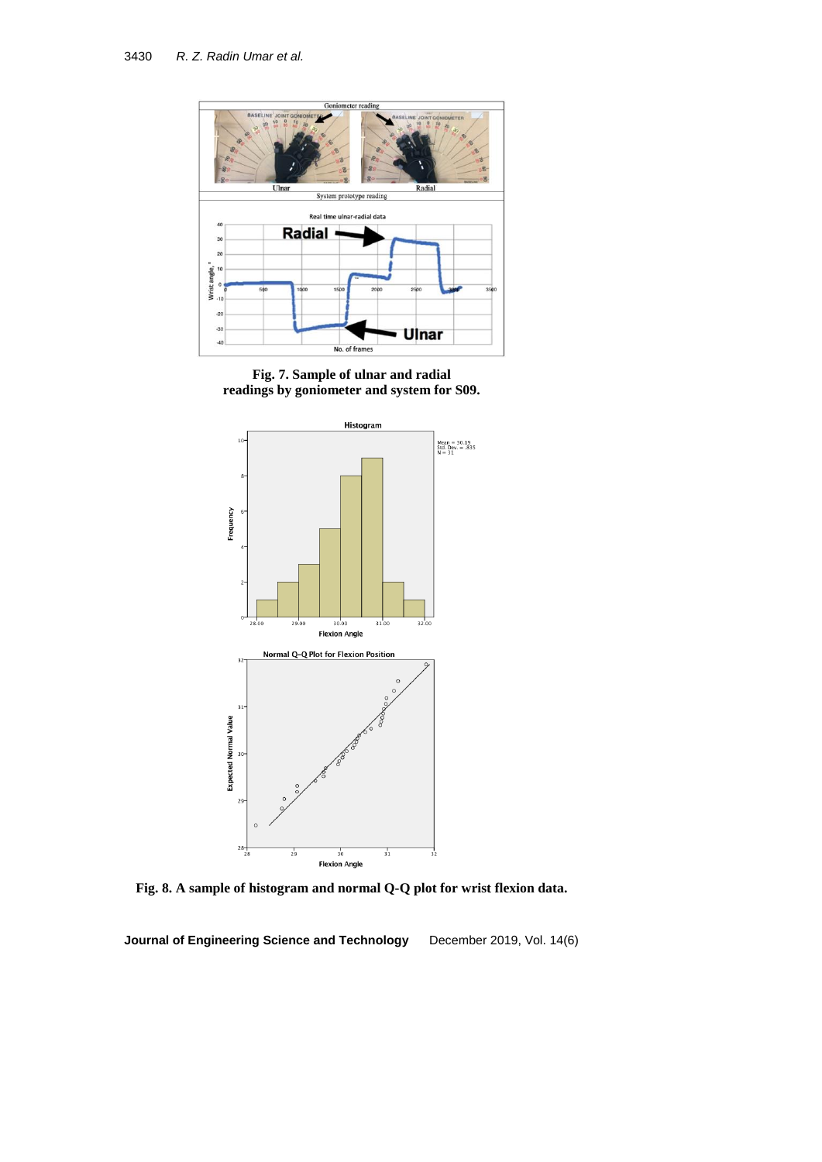

**Fig. 7. Sample of ulnar and radial readings by goniometer and system for S09.**



**Fig. 8. A sample of histogram and normal Q-Q plot for wrist flexion data.**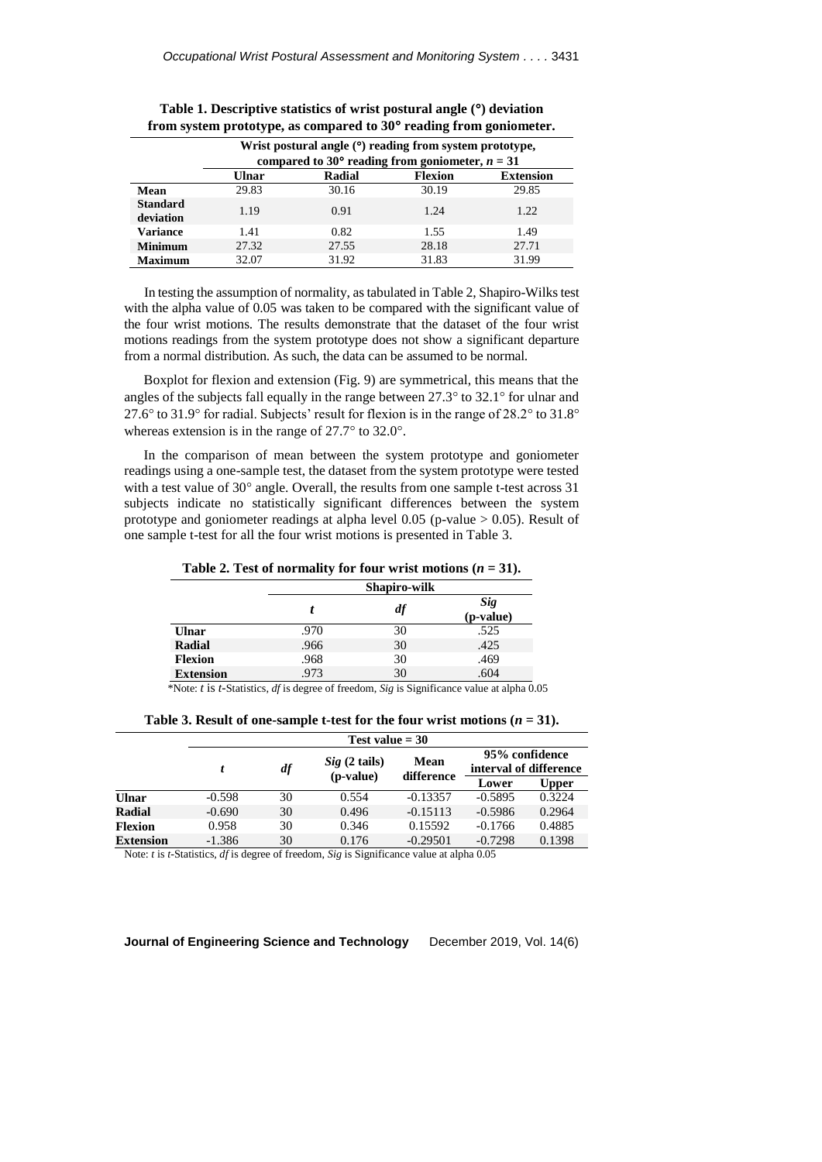|                              |       | Wrist postural angle ( <sup>o</sup> ) reading from system prototype,<br>compared to 30° reading from goniometer, $n = 31$ |                |                  |
|------------------------------|-------|---------------------------------------------------------------------------------------------------------------------------|----------------|------------------|
|                              | Ulnar | Radial                                                                                                                    | <b>Flexion</b> | <b>Extension</b> |
| Mean                         | 29.83 | 30.16                                                                                                                     | 30.19          | 29.85            |
| <b>Standard</b><br>deviation | 1.19  | 0.91                                                                                                                      | 1.24           | 1.22             |
| <b>Variance</b>              | 1.41  | 0.82                                                                                                                      | 1.55           | 1.49             |
| <b>Minimum</b>               | 27.32 | 27.55                                                                                                                     | 28.18          | 27.71            |
| <b>Maximum</b>               | 32.07 | 31.92                                                                                                                     | 31.83          | 31.99            |

**Table 1. Descriptive statistics of wrist postural angle () deviation from system prototype, as compared to 30 reading from goniometer.**

In testing the assumption of normality, as tabulated in Table 2, Shapiro-Wilks test with the alpha value of 0.05 was taken to be compared with the significant value of the four wrist motions. The results demonstrate that the dataset of the four wrist motions readings from the system prototype does not show a significant departure from a normal distribution. As such, the data can be assumed to be normal.

Boxplot for flexion and extension (Fig. 9) are symmetrical, this means that the angles of the subjects fall equally in the range between  $27.3^{\circ}$  to  $32.1^{\circ}$  for ulnar and 27.6 $\degree$  to 31.9 $\degree$  for radial. Subjects' result for flexion is in the range of 28.2 $\degree$  to 31.8 $\degree$ whereas extension is in the range of  $27.7^\circ$  to  $32.0^\circ$ .

In the comparison of mean between the system prototype and goniometer readings using a one-sample test, the dataset from the system prototype were tested with a test value of  $30^{\circ}$  angle. Overall, the results from one sample t-test across 31 subjects indicate no statistically significant differences between the system prototype and goniometer readings at alpha level 0.05 (p-value > 0.05). Result of one sample t-test for all the four wrist motions is presented in Table 3.

**Table 2. Test of normality for four wrist motions**  $(n = 31)$ **.** 

|                  |      | Shapiro-wilk |                         |
|------------------|------|--------------|-------------------------|
|                  |      | df           | <b>Sig</b><br>(p-value) |
| Ulnar            | .970 | 30           | .525                    |
| <b>Radial</b>    | .966 | 30           | .425                    |
| <b>Flexion</b>   | .968 | 30           | .469                    |
| <b>Extension</b> | .973 | 30           | .604                    |

\*Note: *t* is *t-*Statistics, *df* is degree of freedom, *Sig* is Significance value at alpha 0.05

|                  | Test value $=$ 30 |                |                           |                    |                                          |              |
|------------------|-------------------|----------------|---------------------------|--------------------|------------------------------------------|--------------|
|                  |                   | $\mathbf{d}$ f | Sig(2 tails)<br>(p-value) | Mean<br>difference | 95% confidence<br>interval of difference |              |
|                  |                   |                |                           |                    | Lower                                    | <b>Upper</b> |
| <b>Ulnar</b>     | $-0.598$          | 30             | 0.554                     | $-0.13357$         | $-0.5895$                                | 0.3224       |
| Radial           | $-0.690$          | 30             | 0.496                     | $-0.15113$         | $-0.5986$                                | 0.2964       |
| <b>Flexion</b>   | 0.958             | 30             | 0.346                     | 0.15592            | $-0.1766$                                | 0.4885       |
| <b>Extension</b> | $-1.386$          | 30             | 0.176                     | $-0.29501$         | $-0.7298$                                | 0.1398       |

**Table 3. Result of one-sample t-test for the four wrist motions (** $n = 31$ **).** 

Note: *t* is *t-*Statistics, *df* is degree of freedom, *Sig* is Significance value at alpha 0.05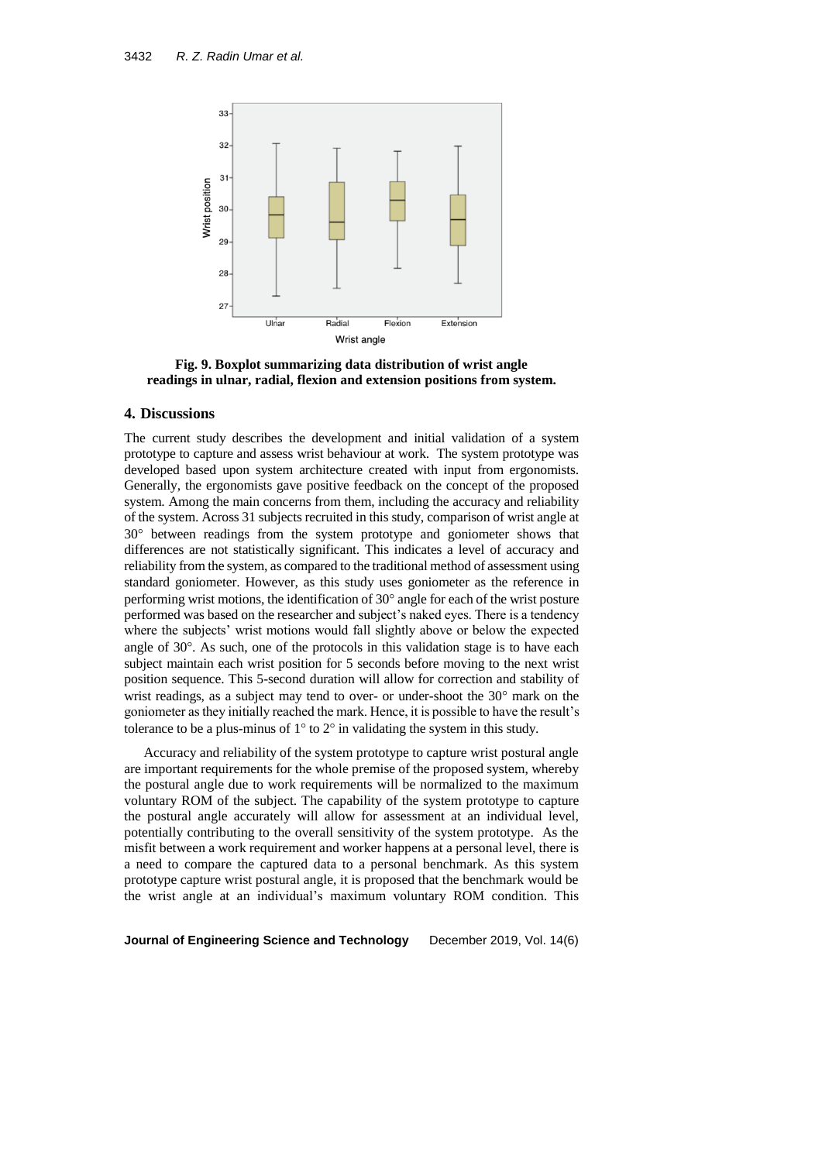

**Fig. 9. Boxplot summarizing data distribution of wrist angle readings in ulnar, radial, flexion and extension positions from system.**

### **4. Discussions**

The current study describes the development and initial validation of a system prototype to capture and assess wrist behaviour at work. The system prototype was developed based upon system architecture created with input from ergonomists. Generally, the ergonomists gave positive feedback on the concept of the proposed system. Among the main concerns from them, including the accuracy and reliability of the system. Across 31 subjects recruited in this study, comparison of wrist angle at 30 between readings from the system prototype and goniometer shows that differences are not statistically significant. This indicates a level of accuracy and reliability from the system, as compared to the traditional method of assessment using standard goniometer. However, as this study uses goniometer as the reference in performing wrist motions, the identification of  $30^{\circ}$  angle for each of the wrist posture performed was based on the researcher and subject's naked eyes. There is a tendency where the subjects' wrist motions would fall slightly above or below the expected angle of  $30^\circ$ . As such, one of the protocols in this validation stage is to have each subject maintain each wrist position for 5 seconds before moving to the next wrist position sequence. This 5-second duration will allow for correction and stability of wrist readings, as a subject may tend to over- or under-shoot the  $30^{\circ}$  mark on the goniometer as they initially reached the mark. Hence, it is possible to have the result's tolerance to be a plus-minus of  $1^{\circ}$  to  $2^{\circ}$  in validating the system in this study.

Accuracy and reliability of the system prototype to capture wrist postural angle are important requirements for the whole premise of the proposed system, whereby the postural angle due to work requirements will be normalized to the maximum voluntary ROM of the subject. The capability of the system prototype to capture the postural angle accurately will allow for assessment at an individual level, potentially contributing to the overall sensitivity of the system prototype. As the misfit between a work requirement and worker happens at a personal level, there is a need to compare the captured data to a personal benchmark. As this system prototype capture wrist postural angle, it is proposed that the benchmark would be the wrist angle at an individual's maximum voluntary ROM condition. This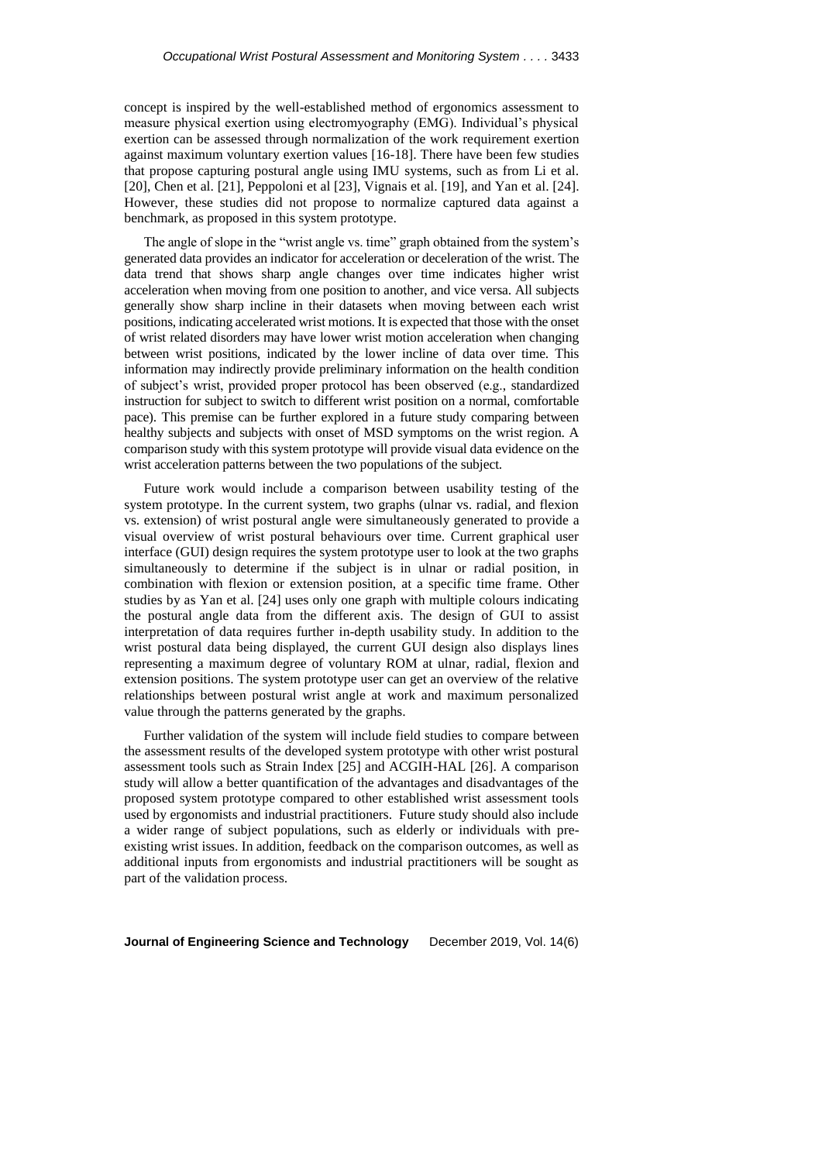concept is inspired by the well-established method of ergonomics assessment to measure physical exertion using electromyography (EMG). Individual's physical exertion can be assessed through normalization of the work requirement exertion against maximum voluntary exertion values [16-18]. There have been few studies that propose capturing postural angle using IMU systems, such as from Li et al. [20], Chen et al. [21], Peppoloni et al [23], Vignais et al. [19], and Yan et al. [24]. However, these studies did not propose to normalize captured data against a benchmark, as proposed in this system prototype.

The angle of slope in the "wrist angle vs. time" graph obtained from the system's generated data provides an indicator for acceleration or deceleration of the wrist. The data trend that shows sharp angle changes over time indicates higher wrist acceleration when moving from one position to another, and vice versa. All subjects generally show sharp incline in their datasets when moving between each wrist positions, indicating accelerated wrist motions. It is expected that those with the onset of wrist related disorders may have lower wrist motion acceleration when changing between wrist positions, indicated by the lower incline of data over time. This information may indirectly provide preliminary information on the health condition of subject's wrist, provided proper protocol has been observed (e.g., standardized instruction for subject to switch to different wrist position on a normal, comfortable pace). This premise can be further explored in a future study comparing between healthy subjects and subjects with onset of MSD symptoms on the wrist region. A comparison study with this system prototype will provide visual data evidence on the wrist acceleration patterns between the two populations of the subject.

Future work would include a comparison between usability testing of the system prototype. In the current system, two graphs (ulnar vs. radial, and flexion vs. extension) of wrist postural angle were simultaneously generated to provide a visual overview of wrist postural behaviours over time. Current graphical user interface (GUI) design requires the system prototype user to look at the two graphs simultaneously to determine if the subject is in ulnar or radial position, in combination with flexion or extension position, at a specific time frame. Other studies by as Yan et al. [24] uses only one graph with multiple colours indicating the postural angle data from the different axis. The design of GUI to assist interpretation of data requires further in-depth usability study. In addition to the wrist postural data being displayed, the current GUI design also displays lines representing a maximum degree of voluntary ROM at ulnar, radial, flexion and extension positions. The system prototype user can get an overview of the relative relationships between postural wrist angle at work and maximum personalized value through the patterns generated by the graphs.

Further validation of the system will include field studies to compare between the assessment results of the developed system prototype with other wrist postural assessment tools such as Strain Index [25] and ACGIH-HAL [26]. A comparison study will allow a better quantification of the advantages and disadvantages of the proposed system prototype compared to other established wrist assessment tools used by ergonomists and industrial practitioners. Future study should also include a wider range of subject populations, such as elderly or individuals with preexisting wrist issues. In addition, feedback on the comparison outcomes, as well as additional inputs from ergonomists and industrial practitioners will be sought as part of the validation process.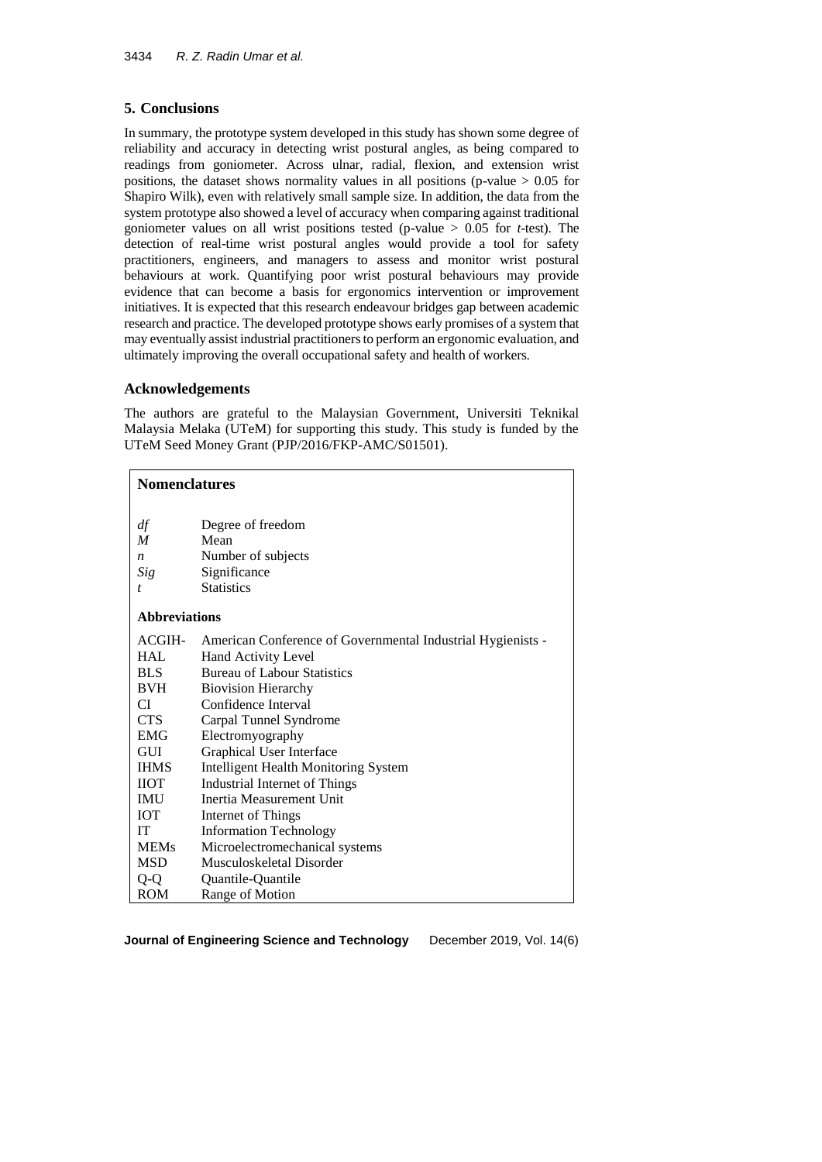# **5. Conclusions**

In summary, the prototype system developed in this study has shown some degree of reliability and accuracy in detecting wrist postural angles, as being compared to readings from goniometer. Across ulnar, radial, flexion, and extension wrist positions, the dataset shows normality values in all positions (p-value  $> 0.05$  for Shapiro Wilk), even with relatively small sample size. In addition, the data from the system prototype also showed a level of accuracy when comparing against traditional goniometer values on all wrist positions tested (p-value > 0.05 for *t*-test). The detection of real-time wrist postural angles would provide a tool for safety practitioners, engineers, and managers to assess and monitor wrist postural behaviours at work. Quantifying poor wrist postural behaviours may provide evidence that can become a basis for ergonomics intervention or improvement initiatives. It is expected that this research endeavour bridges gap between academic research and practice. The developed prototype shows early promises of a system that may eventually assist industrial practitioners to perform an ergonomic evaluation, and ultimately improving the overall occupational safety and health of workers.

## **Acknowledgements**

The authors are grateful to the Malaysian Government, Universiti Teknikal Malaysia Melaka (UTeM) for supporting this study. This study is funded by the UTeM Seed Money Grant (PJP/2016/FKP-AMC/S01501).

### **Nomenclatures**

| df<br>M<br>$\boldsymbol{n}$<br>Sig<br>t | Degree of freedom<br>Mean<br>Number of subjects<br>Significance<br><b>Statistics</b> |
|-----------------------------------------|--------------------------------------------------------------------------------------|
| <b>Abbreviations</b>                    |                                                                                      |
| ACGIH-                                  | American Conference of Governmental Industrial Hygienists -                          |
| <b>HAL</b>                              | Hand Activity Level                                                                  |
| <b>BLS</b>                              | <b>Bureau of Labour Statistics</b>                                                   |
| <b>BVH</b>                              | <b>Biovision Hierarchy</b>                                                           |
| CI                                      | Confidence Interval                                                                  |
| <b>CTS</b>                              | Carpal Tunnel Syndrome                                                               |
| EMG                                     | Electromyography                                                                     |
| GUI                                     | Graphical User Interface                                                             |
| <b>IHMS</b>                             | <b>Intelligent Health Monitoring System</b>                                          |
| ПОТ                                     | Industrial Internet of Things                                                        |
| IMU                                     | Inertia Measurement Unit                                                             |
| <b>IOT</b>                              | Internet of Things                                                                   |
| IT                                      | <b>Information Technology</b>                                                        |
| <b>MEMs</b>                             | Microelectromechanical systems                                                       |
| <b>MSD</b>                              | Musculoskeletal Disorder                                                             |
| Q-Q                                     | Quantile-Quantile                                                                    |
| ROM                                     | Range of Motion                                                                      |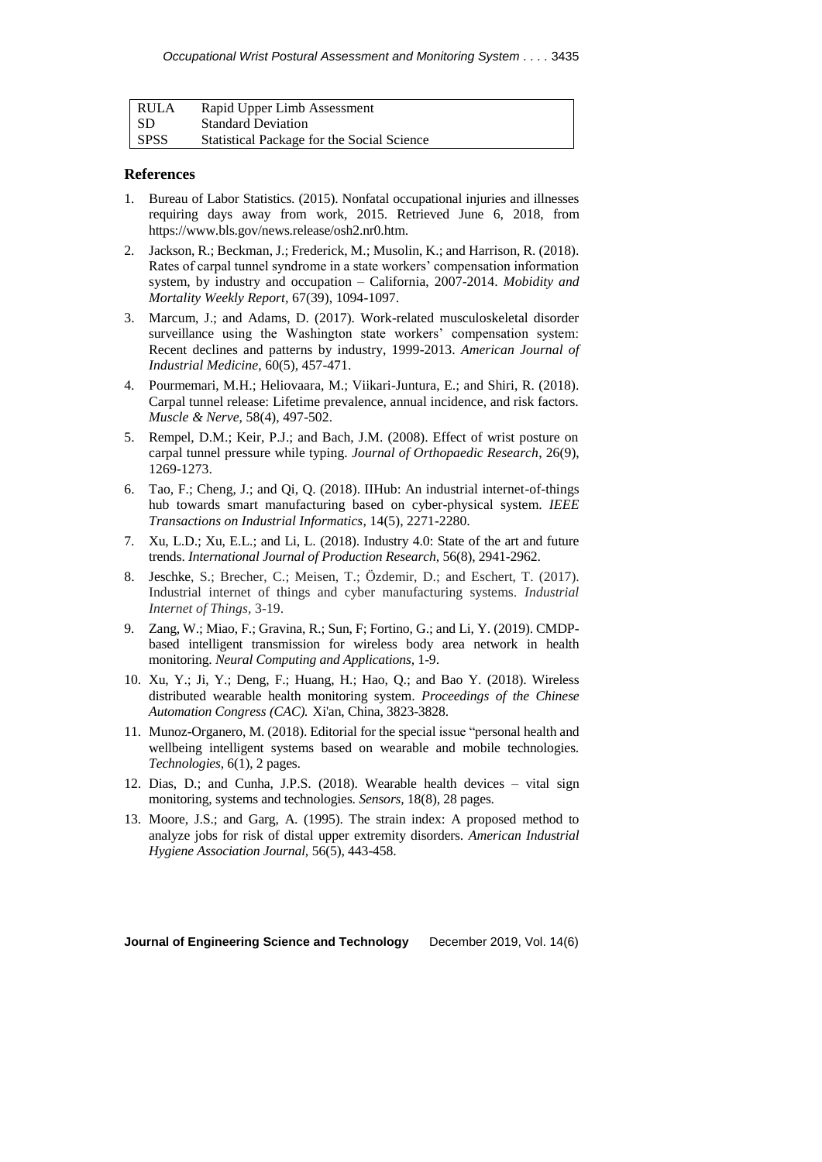| RULA        | Rapid Upper Limb Assessment                |
|-------------|--------------------------------------------|
| l SD        | <b>Standard Deviation</b>                  |
| <b>SPSS</b> | Statistical Package for the Social Science |

### **References**

- 1. Bureau of Labor Statistics. (2015). Nonfatal occupational injuries and illnesses requiring days away from work, 2015. Retrieved June 6, 2018, from https://www.bls.gov/news.release/osh2.nr0.htm.
- 2. Jackson, R.; Beckman, J.; Frederick, M.; Musolin, K.; and Harrison, R. (2018). Rates of carpal tunnel syndrome in a state workers' compensation information system, by industry and occupation – California, 2007-2014. *Mobidity and Mortality Weekly Report,* 67(39), 1094-1097.
- 3. Marcum, J.; and Adams, D. (2017). Work-related musculoskeletal disorder surveillance using the Washington state workers' compensation system: Recent declines and patterns by industry, 1999-2013. *American Journal of Industrial Medicine*, 60(5), 457-471.
- 4. Pourmemari, M.H.; Heliovaara, M.; Viikari-Juntura, E.; and Shiri, R. (2018). Carpal tunnel release: Lifetime prevalence, annual incidence, and risk factors. *Muscle & Nerve*, 58(4), 497-502.
- 5. Rempel, D.M.; Keir, P.J.; and Bach, J.M. (2008). Effect of wrist posture on carpal tunnel pressure while typing. *Journal of Orthopaedic Research*, 26(9), 1269-1273.
- 6. Tao, F.; Cheng, J.; and Qi, Q. (2018). IIHub: An industrial internet-of-things hub towards smart manufacturing based on cyber-physical system. *IEEE Transactions on Industrial Informatics*, 14(5), 2271-2280.
- 7. Xu, L.D.; Xu, E.L.; and Li, L. (2018). Industry 4.0: State of the art and future trends. *International Journal of Production Research,* 56(8), 2941-2962.
- 8. Jeschke, S.; Brecher, C.; Meisen, T.; Özdemir, D.; and Eschert, T. (2017). Industrial internet of things and cyber manufacturing systems. *Industrial Internet of Things,* 3-19.
- 9. Zang, W.; Miao, F.; Gravina, R.; Sun, F; Fortino, G.; and Li, Y. (2019). CMDPbased intelligent transmission for wireless body area network in health monitoring. *Neural Computing and Applications,* 1-9.
- 10. Xu, Y.; Ji, Y.; Deng, F.; Huang, H.; Hao, Q.; and Bao Y. (2018). Wireless distributed wearable health monitoring system. *Proceedings of the Chinese Automation Congress (CAC).* Xi'an, China*,* 3823-3828.
- 11. Munoz-Organero, M. (2018). Editorial for the special issue "personal health and wellbeing intelligent systems based on wearable and mobile technologies. *Technologies,* 6(1), 2 pages.
- 12. Dias, D.; and Cunha, J.P.S. (2018). Wearable health devices vital sign monitoring, systems and technologies. *Sensors,* 18(8), 28 pages.
- 13. Moore, J.S.; and Garg, A. (1995). The strain index: A proposed method to analyze jobs for risk of distal upper extremity disorders. *American Industrial Hygiene Association Journal,* 56(5), 443-458.